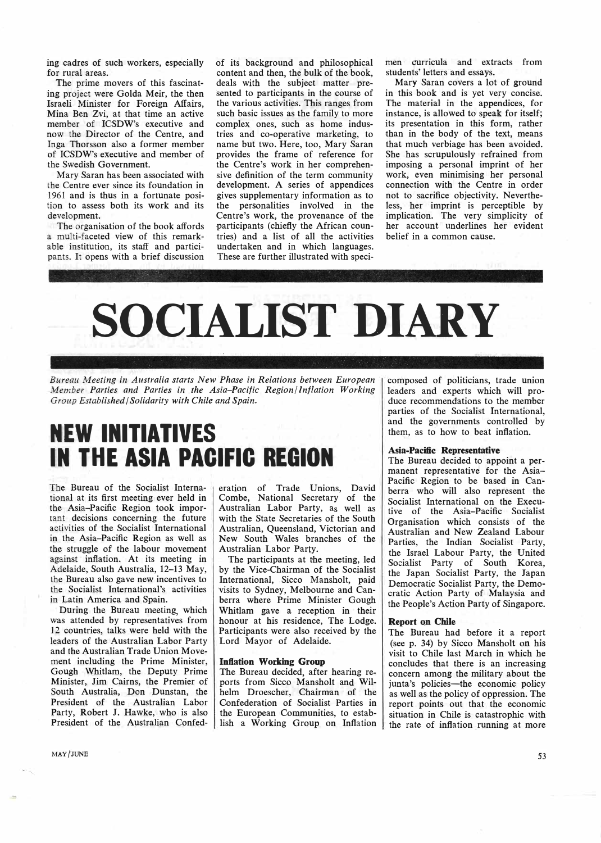ing cadres of such workers, especially for rural areas.

The prime movers of this fascinating project were Golda Meir, the then Israeli Minister for Foreign Affairs, Mina Ben Zvi, at that time an active member of ICSDW's executive and now the Director of the Centre, and Inga Thorsson also a former member of ICSDW's executive and member of the Swedish Government.

Mary Saran has been associated with the Centre ever since its foundation in 1961 and is thus in a fortunate position to assess both its work and its development.

The organisation of the book affords a multi-faceted view of this remarkable institution, its staff and participants. It opens with a brief discussion of its background and philosophical content and then, the bulk of the book, deals with the subject matter presented to participants in the course of the various activities. This ranges from such basic issues as the family to more complex ones, such as home industries and co-operative marketing, to name but two. Here, too, Mary Saran provides the frame of reference for the Centre's work in her comprehensive definition of the term community development. A series of appendices gives supplementary information as to the personalities involved in the Centre's work, the provenance of the participants (chiefly the African countries) and a list of all the activities undertaken and in which languages. These are further illustrated with specimen curricula and extracts from students' letters and essays.

Mary Saran covers a lot of ground in this book and is yet very concise. The material in the appendices, for instance, is allowed to speak for itself; its presentation in this form, rather than in the body of the text, means that much verbiage has been avoided. She has scrupulously refrained from imposing a personal imprint of her work, even minimising her personal connection with the Centre in order not to sacrifice objectivity. Nevertheless, her imprint is perceptible by implication. The very simplicity of her account underlines her evident belief in a common cause.



*Bureau Meeting in Australia starts New Phase in Relations between European Member Parties and Parties in the Asia-Pacific Region/ Inflation Working Group Established/ Solidarity with Chile and Spain.* 

# **NEW INITIATIVES IN THE ASIA PACIFIC REGION**

The Bureau of the Socialist International at its first meeting ever held in the Asia-Pacific Region took important decisions concerning the future activities of the Socialist International in the Asia-Pacific Region as well as the struggle of the labour movement against inflation. At its meeting in Adelaide, South Australia, 12-13 May, the Bureau also gave new incentives to the Socialist International's activities in Latin America and Spain.

During the Bureau meeting, which was attended by representatives from 12 countries, talks were held with the leaders of the Australian Labor Party and the Australian Trade Union Movement including the Prime Minister, Gough Whitlam, the Deputy Prime Minister, Jim Cairns, the Premier of South Australia, Don Dunstan, the President of the Australian Labor Party, Robert J. Hawke, who is also President of the Australian Confederation of Trade Unions, David Combe, National Secretary of the Australian Labor Party, as well as with the State Secretaries of the South Australian, Queensland, Victorian and New South Wales branches of the Australian Labor Party.

The participants at the meeting, led by the Vice-Chairman of the Socialist International, Sicco Mansholt, paid visits to Sydney, Melbourne and Canberra where Prime Minister Gough Whitlam gave a reception in their honour at his residence, The Lodge. Participants were also received by the Lord Mayor of Adelaide.

### **Inflation Working Group**

The Bureau decided, after hearing reports from Sicco Mansholt and Wilhelm Droescher, Chairman of the Confederation of Socialist Parties in the European Communities, to establish a Working Group on Inflation composed of politicians, trade union leaders and experts which will produce recommendations to the member parties of the Socialist International, and the governments controlled by them, as to how to beat inflation.

#### **Asia-Pacific Representative**

The Bureau decided to appoint a permanent representative for the Asia-Pacific Region to be based in Canberra who will also represent the Socialist International on the Executive of the Asia-Pacific Socialist Organisation which consists of the Australian and New Zealand Labour Parties, the Indian Socialist Party, the Israel Labour Party, the United Socialist Party of South Korea, the Japan Socialist Party, the Japan Democratic Socialist Party, the Democratic Action Party of Malaysia and the People's Action Party of Singapore.

#### **Report on Chile**

The Bureau had before it a report (see p. 34) by Sicco Mansholt on his visit to Chile last March in which he concludes that there is an increasing concern among the military about the junta's policies—the economic policy as well as the policy of oppression. The report points out that the economic situation in Chile is catastrophic with the rate of inflation running at more